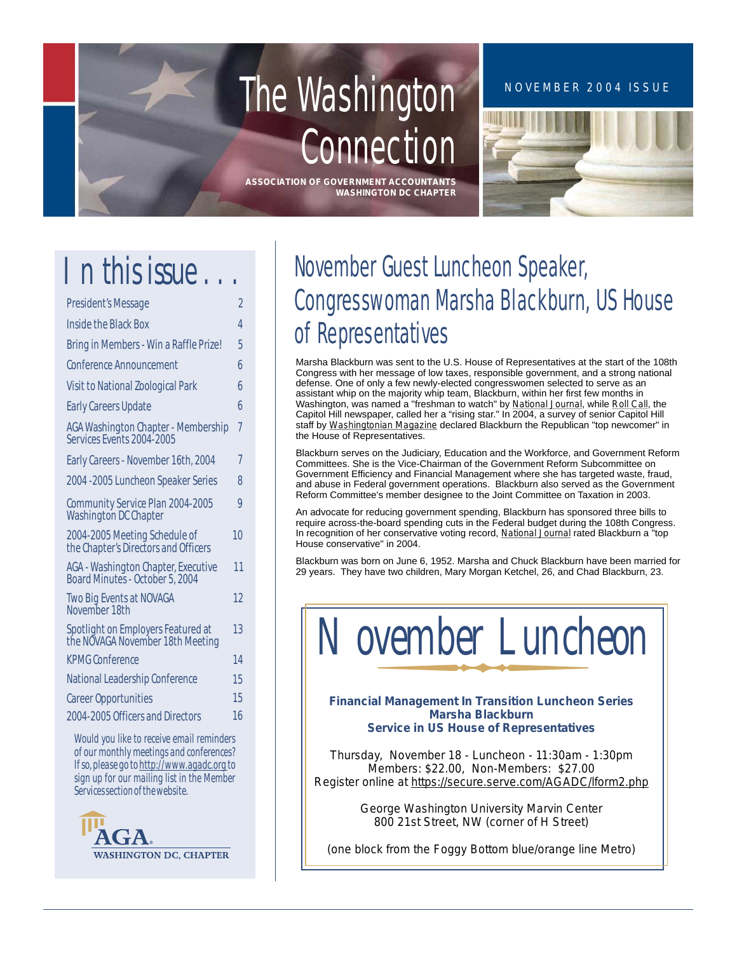# The Washington **Connection**

**ASSOCIATION OF GOVERNMENT ACCOUNTANTS WASHINGTON DC CHAPTER**

### NOVEMBER 2004 ISSUE



# *n this issue . . . I*

| <b>President's Message</b>                                              | 2              |
|-------------------------------------------------------------------------|----------------|
| <b>Inside the Black Box</b>                                             | $\overline{A}$ |
| Bring in Members - Win a Raffle Prize!                                  | 5              |
| <b>Conference Announcement</b>                                          | 6              |
| <b>Visit to National Zoological Park</b>                                | 6              |
| <b>Early Careers Update</b>                                             | 6              |
| <b>AGA Washington Chapter - Membership</b><br>Services Events 2004-2005 | 7              |
| Early Careers - November 16th, 2004                                     | 7              |
| 2004 - 2005 Luncheon Speaker Series                                     | 8              |
| Community Service Plan 2004-2005<br>Washington DC Chapter               | 9              |
| 2004-2005 Meeting Schedule of<br>the Chapter's Directors and Officers   | 10             |
| AGA - Washington Chapter, Executive<br>Board Minutes - October 5, 2004  | 11             |
| <b>Two Big Events at NOVAGA</b><br>November 18th                        | 12             |
| Spotlight on Employers Featured at<br>the NOVAGA November 18th Meeting  | 13             |
| <b>KPMG Conference</b>                                                  | 14             |
| National Leadership Conference                                          | 15             |
| <b>Career Opportunities</b>                                             | 15             |
| 2004-2005 Officers and Directors                                        | 16             |
|                                                                         |                |

*Would you like to receive email reminders of our monthly meetings and conferences? If so,please go t[o http://www.agadc.org](http://www.agadc.org) to sign up for our mailing list in the Member Services section of the website.*



## November Guest Luncheon Speaker, Congresswoman Marsha Blackburn, US House of Representatives

Marsha Blackburn was sent to the U.S. House of Representatives at the start of the 108th Congress with her message of low taxes, responsible government, and a strong national defense. One of only a few newly-elected congresswomen selected to serve as an assistant whip on the majority whip team, Blackburn, within her first few months in Washington, was named a "freshman to watch" by *National Journal*, while *Roll Call*, the Capitol Hill newspaper, called her a "rising star." In 2004, a survey of senior Capitol Hill staff by *Washingtonian Magazine* declared Blackburn the Republican "top newcomer" in the House of Representatives.

Blackburn serves on the Judiciary, Education and the Workforce, and Government Reform Committees. She is the Vice-Chairman of the Government Reform Subcommittee on Government Efficiency and Financial Management where she has targeted waste, fraud, and abuse in Federal government operations. Blackburn also served as the Government Reform Committee's member designee to the Joint Committee on Taxation in 2003.

An advocate for reducing government spending, Blackburn has sponsored three bills to require across-the-board spending cuts in the Federal budget during the 108th Congress. In recognition of her conservative voting record, *National Journal* rated Blackburn a "top House conservative" in 2004.

Blackburn was born on June 6, 1952. Marsha and Chuck Blackburn have been married for 29 years. They have two children, Mary Morgan Ketchel, 26, and Chad Blackburn, 23.



*Financial Management In Transition Luncheon Series Marsha Blackburn Service in US House of Representatives*

*Thursday, November 18 - Luncheon - 11:30am - 1:30pm Members: \$22.00, Non-Members: \$27.00 Register online at<https://secure.serve.com/AGADC/lform2.php>*

> *George Washington University Marvin Center 800 21st Street, NW (corner of H Street)*

*(one block from the Foggy Bottom blue/orange line Metro)*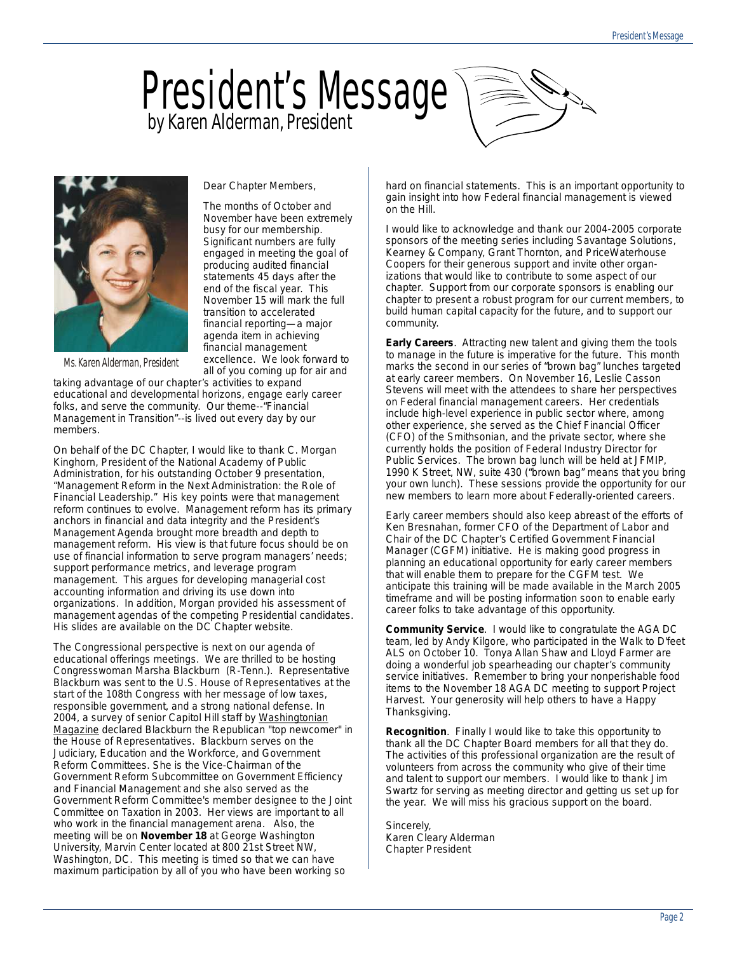# **by Karen Alderman, President** President's Message



*Significant numbers are fully* 

*engaged in meeting the goal of producing audited financial statements 45 days after the end of the fiscal year. This November 15 will mark the full transition to accelerated financial reporting—a major agenda item in achieving financial management excellence. We look forward to all of you coming up for air and* 

*Dear Chapter Members, The months of October and November have been extremely busy for our membership.* 

*Ms. Karen Alderman, President*

*taking advantage of our chapter's activities to expand educational and developmental horizons, engage early career folks, and serve the community. Our theme--"Financial Management in Transition"--is lived out every day by our members.*

*On behalf of the DC Chapter, I would like to thank C. Morgan Kinghorn, President of the National Academy of Public Administration, for his outstanding October 9 presentation, "Management Reform in the Next Administration: the Role of Financial Leadership." His key points were that management reform continues to evolve. Management reform has its primary anchors in financial and data integrity and the President's Management Agenda brought more breadth and depth to management reform. His view is that future focus should be on use of financial information to serve program managers' needs; support performance metrics, and leverage program management. This argues for developing managerial cost accounting information and driving its use down into organizations. In addition, Morgan provided his assessment of management agendas of the competing Presidential candidates. His slides are available on the DC Chapter website.* 

*The Congressional perspective is next on our agenda of educational offerings meetings. We are thrilled to be hosting Congresswoman Marsha Blackburn (R-Tenn.). Representative Blackburn was sent to the U.S. House of Representatives at the start of the 108th Congress with her message of low taxes, responsible government, and a strong national defense. In 2004, a survey of senior Capitol Hill staff by Washingtonian Magazine declared Blackburn the Republican "top newcomer" in the House of Representatives. Blackburn serves on the Judiciary, Education and the Workforce, and Government Reform Committees. She is the Vice-Chairman of the Government Reform Subcommittee on Government Efficiency and Financial Management and she also served as the Government Reform Committee's member designee to the Joint Committee on Taxation in 2003. Her views are important to all who work in the financial management arena. Also, the meeting will be on November 18 at George Washington University, Marvin Center located at 800 21st Street NW, Washington, DC. This meeting is timed so that we can have maximum participation by all of you who have been working so* 

*hard on financial statements. This is an important opportunity to gain insight into how Federal financial management is viewed on the Hill.*

*I would like to acknowledge and thank our 2004-2005 corporate sponsors of the meeting series including Savantage Solutions, Kearney & Company, Grant Thornton, and PriceWaterhouse Coopers for their generous support and invite other organizations that would like to contribute to some aspect of our chapter. Support from our corporate sponsors is enabling our chapter to present a robust program for our current members, to build human capital capacity for the future, and to support our community.*

*Early Careers. Attracting new talent and giving them the tools to manage in the future is imperative for the future. This month marks the second in our series of "brown bag" lunches targeted at early career members. On November 16, Leslie Casson Stevens will meet with the attendees to share her perspectives on Federal financial management careers. Her credentials include high-level experience in public sector where, among other experience, she served as the Chief Financial Officer (CFO) of the Smithsonian, and the private sector, where she currently holds the position of Federal Industry Director for Public Services. The brown bag lunch will be held at JFMIP, 1990 K Street, NW, suite 430 ("brown bag" means that you bring your own lunch). These sessions provide the opportunity for our new members to learn more about Federally-oriented careers.*

*Early career members should also keep abreast of the efforts of Ken Bresnahan, former CFO of the Department of Labor and Chair of the DC Chapter's Certified Government Financial Manager (CGFM) initiative. He is making good progress in planning an educational opportunity for early career members that will enable them to prepare for the CGFM test. We anticipate this training will be made available in the March 2005 timeframe and will be posting information soon to enable early career folks to take advantage of this opportunity.* 

*Community Service. I would like to congratulate the AGA DC team, led by Andy Kilgore, who participated in the Walk to D'feet ALS on October 10. Tonya Allan Shaw and Lloyd Farmer are doing a wonderful job spearheading our chapter's community service initiatives. Remember to bring your nonperishable food items to the November 18 AGA DC meeting to support Project Harvest. Your generosity will help others to have a Happy Thanksgiving.*

*Recognition. Finally I would like to take this opportunity to thank all the DC Chapter Board members for all that they do. The activities of this professional organization are the result of volunteers from across the community who give of their time and talent to support our members. I would like to thank Jim Swartz for serving as meeting director and getting us set up for the year. We will miss his gracious support on the board.*

*Sincerely, Karen Cleary Alderman Chapter President*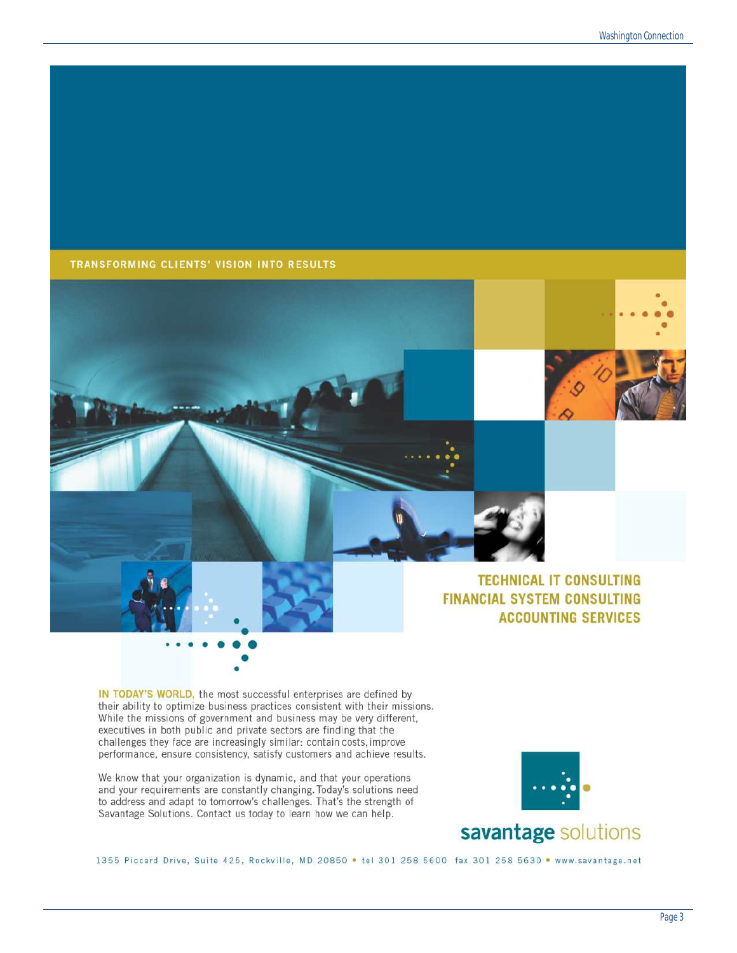### TRANSFORMING CLIENTS' VISION INTO RESULTS







### **TECHNICAL IT CONSULTING FINANCIAL SYSTEM CONSULTING ACCOUNTING SERVICES**

IN TODAY'S WORLD, the most successful enterprises are defined by their ability to optimize business practices consistent with their missions. While the missions of government and business may be very different, executives in both public and private sectors are finding that the challenges they face are increasingly similar: contain costs, improve performance, ensure consistency, satisfy customers and achieve results.

We know that your organization is dynamic, and that your operations and your requirements are constantly changing. Today's solutions need to address and adapt to tomorrow's challenges. That's the strength of Savantage Solutions. Contact us today to learn how we can help.



1355 Piccard Drive, Suite 425, Rockville, MD 20850 . tel 301 258 5600 fax 301 258 5630 . www.savantage.net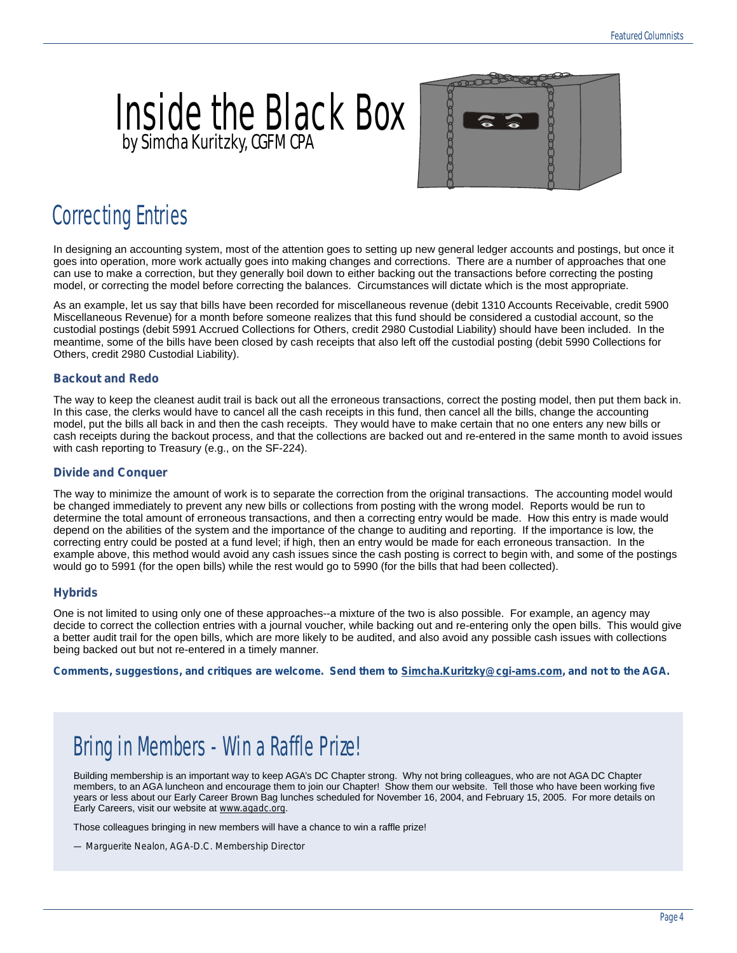## **by Simcha Kuritzky, CGFM CPA** Inside the Black Box



### Correcting Entries

In designing an accounting system, most of the attention goes to setting up new general ledger accounts and postings, but once it goes into operation, more work actually goes into making changes and corrections. There are a number of approaches that one can use to make a correction, but they generally boil down to either backing out the transactions before correcting the posting model, or correcting the model before correcting the balances. Circumstances will dictate which is the most appropriate.

As an example, let us say that bills have been recorded for miscellaneous revenue (debit 1310 Accounts Receivable, credit 5900 Miscellaneous Revenue) for a month before someone realizes that this fund should be considered a custodial account, so the custodial postings (debit 5991 Accrued Collections for Others, credit 2980 Custodial Liability) should have been included. In the meantime, some of the bills have been closed by cash receipts that also left off the custodial posting (debit 5990 Collections for Others, credit 2980 Custodial Liability).

### **Backout and Redo**

The way to keep the cleanest audit trail is back out all the erroneous transactions, correct the posting model, then put them back in. In this case, the clerks would have to cancel all the cash receipts in this fund, then cancel all the bills, change the accounting model, put the bills all back in and then the cash receipts. They would have to make certain that no one enters any new bills or cash receipts during the backout process, and that the collections are backed out and re-entered in the same month to avoid issues with cash reporting to Treasury (e.g., on the SF-224).

#### **Divide and Conquer**

The way to minimize the amount of work is to separate the correction from the original transactions. The accounting model would be changed immediately to prevent any new bills or collections from posting with the wrong model. Reports would be run to determine the total amount of erroneous transactions, and then a correcting entry would be made. How this entry is made would depend on the abilities of the system and the importance of the change to auditing and reporting. If the importance is low, the correcting entry could be posted at a fund level; if high, then an entry would be made for each erroneous transaction. In the example above, this method would avoid any cash issues since the cash posting is correct to begin with, and some of the postings would go to 5991 (for the open bills) while the rest would go to 5990 (for the bills that had been collected).

#### **Hybrids**

One is not limited to using only one of these approaches--a mixture of the two is also possible. For example, an agency may decide to correct the collection entries with a journal voucher, while backing out and re-entering only the open bills. This would give a better audit trail for the open bills, which are more likely to be audited, and also avoid any possible cash issues with collections being backed out but not re-entered in a timely manner.

*Comments, suggestions, and critiques are welcome. Send them to [Simcha.Kuritzky@cgi-ams.com,](mailto:simcha.kuritzky@cgi-ams.com) and not to the AGA.*

### Bring in Members - Win a Raffle Prize!

Building membership is an important way to keep AGA's DC Chapter strong. Why not bring colleagues, who are not AGA DC Chapter members, to an AGA luncheon and encourage them to join our Chapter! Show them our website. Tell those who have been working five years or less about our Early Career Brown Bag lunches scheduled for November 16, 2004, and February 15, 2005. For more details on Early Careers, visit our website at *[www.agadc.org](http://www.agadc.org)*.

Those colleagues bringing in new members will have a chance to win a raffle prize!

*— Marguerite Nealon, AGA-D.C. Membership Director*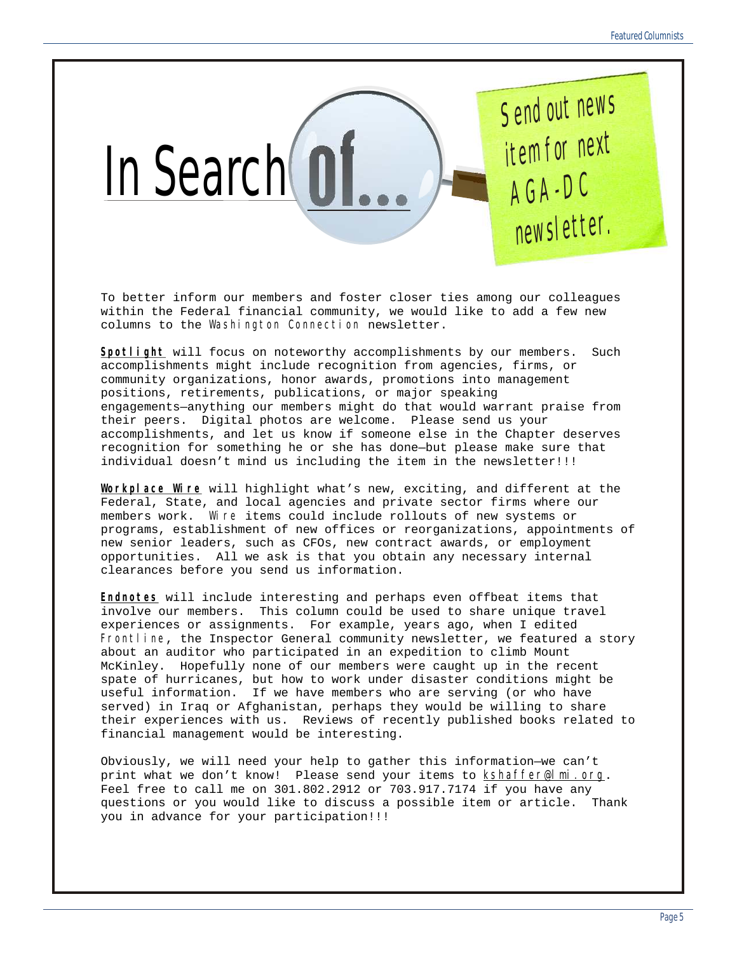

To better inform our members and foster closer ties among our colleagues within the Federal financial community, we would like to add a few new columns to the *Washington Connection* newsletter.

*Spotlight* will focus on noteworthy accomplishments by our members. Such accomplishments might include recognition from agencies, firms, or community organizations, honor awards, promotions into management positions, retirements, publications, or major speaking engagements—anything our members might do that would warrant praise from their peers. Digital photos are welcome. Please send us your accomplishments, and let us know if someone else in the Chapter deserves recognition for something he or she has done—but please make sure that individual doesn't mind us including the item in the newsletter!!!

*Workplace Wire* will highlight what's new, exciting, and different at the Federal, State, and local agencies and private sector firms where our members work. *Wire* items could include rollouts of new systems or programs, establishment of new offices or reorganizations, appointments of new senior leaders, such as CFOs, new contract awards, or employment opportunities. All we ask is that you obtain any necessary internal clearances before you send us information.

*Endnotes* will include interesting and perhaps even offbeat items that involve our members. This column could be used to share unique travel experiences or assignments. For example, years ago, when I edited *Frontline*, the Inspector General community newsletter, we featured a story about an auditor who participated in an expedition to climb Mount McKinley. Hopefully none of our members were caught up in the recent spate of hurricanes, but how to work under disaster conditions might be useful information. If we have members who are serving (or who have served) in Iraq or Afghanistan, perhaps they would be willing to share their experiences with us. Reviews of recently published books related to financial management would be interesting.

Obviously, we will need your help to gather this information—we can't print what we don't know! Please send your items to *[kshaffer@lmi.org](mailto:kshaffer@lmi.org)*. Feel free to call me on 301.802.2912 or 703.917.7174 if you have any questions or you would like to discuss a possible item or article. Thank you in advance for your participation!!!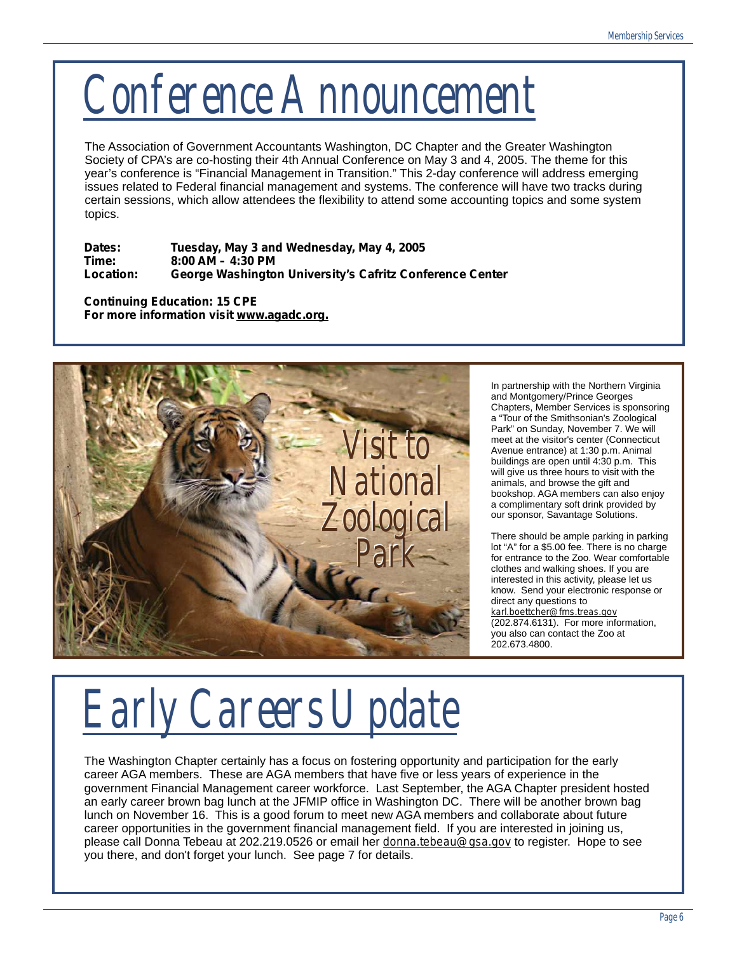*Conference Announcement*

The Association of Government Accountants Washington, DC Chapter and the Greater Washington Society of CPA's are co-hosting their 4th Annual Conference on May 3 and 4, 2005. The theme for this year's conference is "Financial Management in Transition." This 2-day conference will address emerging issues related to Federal financial management and systems. The conference will have two tracks during certain sessions, which allow attendees the flexibility to attend some accounting topics and some system topics.

**Dates: Tuesday, May 3 and Wednesday, May 4, 2005 Time: 8:00 AM – 4:30 PM Location: George Washington University's Cafritz Conference Center**

**Continuing Education: 15 CPE For more information visit** *[www.agadc.org.](http://www.agadc.org)*



In partnership with the Northern Virginia and Montgomery/Prince Georges Chapters, Member Services is sponsoring a "Tour of the Smithsonian's Zoological Park" on Sunday, November 7. We will meet at the visitor's center (Connecticut Avenue entrance) at 1:30 p.m. Animal buildings are open until 4:30 p.m. This will give us three hours to visit with the animals, and browse the gift and bookshop. AGA members can also enjoy a complimentary soft drink provided by our sponsor, Savantage Solutions.

There should be ample parking in parking lot "A" for a \$5.00 fee. There is no charge for entrance to the Zoo. Wear comfortable clothes and walking shoes. If you are interested in this activity, please let us know. Send your electronic response or direct any questions to *[karl.boettcher@fms.treas.gov](mailto:karl.boettcher@fms.treas.gov)*  (202.874.6131). For more information, you also can contact the Zoo at 202.673.4800.

*Early Careers Update*

The Washington Chapter certainly has a focus on fostering opportunity and participation for the early career AGA members. These are AGA members that have five or less years of experience in the government Financial Management career workforce. Last September, the AGA Chapter president hosted an early career brown bag lunch at the JFMIP office in Washington DC. There will be another brown bag lunch on November 16. This is a good forum to meet new AGA members and collaborate about future career opportunities in the government financial management field. If you are interested in joining us, please call Donna Tebeau at 202.219.0526 or email her *[donna.tebeau@gsa.gov](mailto:donna.tebeau@gsa.gov)* to register. Hope to see you there, and don't forget your lunch. See page 7 for details.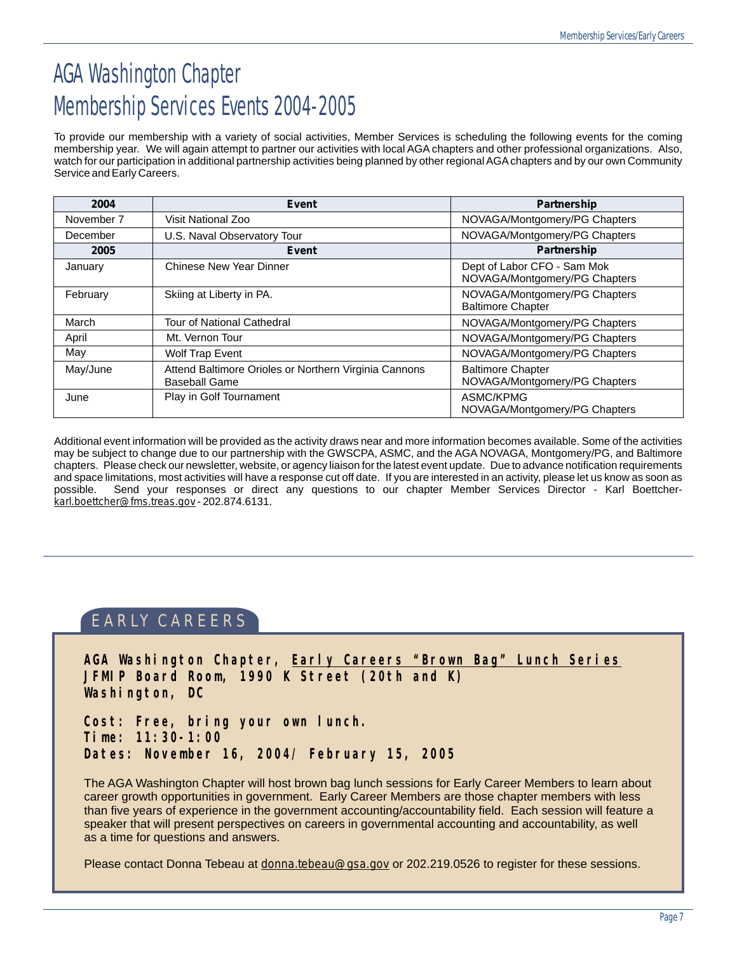## AGA Washington Chapter Membership Services Events 2004-2005

To provide our membership with a variety of social activities, Member Services is scheduling the following events for the coming membership year. We will again attempt to partner our activities with local AGA chapters and other professional organizations. Also, watch for our participation in additional partnership activities being planned by other regional AGAchapters and by our own Community Service and Early Careers.

| 2004       | Event                                                                         | <b>Partnership</b>                                           |
|------------|-------------------------------------------------------------------------------|--------------------------------------------------------------|
| November 7 | Visit National Zoo                                                            | NOVAGA/Montgomery/PG Chapters                                |
| December   | U.S. Naval Observatory Tour                                                   | NOVAGA/Montgomery/PG Chapters                                |
| 2005       | Event                                                                         | Partnership                                                  |
| January    | Chinese New Year Dinner                                                       | Dept of Labor CFO - Sam Mok<br>NOVAGA/Montgomery/PG Chapters |
| February   | Skiing at Liberty in PA.                                                      | NOVAGA/Montgomery/PG Chapters<br><b>Baltimore Chapter</b>    |
| March      | <b>Tour of National Cathedral</b>                                             | NOVAGA/Montgomery/PG Chapters                                |
| April      | Mt. Vernon Tour                                                               | NOVAGA/Montgomery/PG Chapters                                |
| May        | <b>Wolf Trap Event</b>                                                        | NOVAGA/Montgomery/PG Chapters                                |
| May/June   | Attend Baltimore Orioles or Northern Virginia Cannons<br><b>Baseball Game</b> | <b>Baltimore Chapter</b><br>NOVAGA/Montgomery/PG Chapters    |
| June       | Play in Golf Tournament                                                       | ASMC/KPMG<br>NOVAGA/Montgomery/PG Chapters                   |

Additional event information will be provided as the activity draws near and more information becomes available. Some of the activities may be subject to change due to our partnership with the GWSCPA, ASMC, and the AGA NOVAGA, Montgomery/PG, and Baltimore chapters. Please check our newsletter, website, or agency liaison for the latest event update. Due to advance notification requirements and space limitations, most activities will have a response cut off date. If you are interested in an activity, please let us know as soon as<br>possible. Send your responses or direct any questions to our chapter Member Serv Send your responses or direct any questions to our chapter Member Services Director - Karl Boettcher*[karl.boettcher@fms.treas.gov](mailto:karl.boettcher@fms.treas.gov)* - 202.874.6131.

### EARLY CAREERS

**AGA Washington Chapter, Early Careers "Brown Bag" Lunch Series JFMIP Board Room, 1990 K Street (20th and K) Washington, DC**

**Cost: Free, bring your own lunch. Time: 11:30-1:00 Dates: November 16, 2004/ February 15, 2005**

The AGA Washington Chapter will host brown bag lunch sessions for Early Career Members to learn about career growth opportunities in government. Early Career Members are those chapter members with less than five years of experience in the government accounting/accountability field. Each session will feature a speaker that will present perspectives on careers in governmental accounting and accountability, as well as a time for questions and answers.

Please contact Donna Tebeau at *[donna.tebeau@gsa.gov](mailto:donna.tebeau@gsa.gov)* or 202.219.0526 to register for these sessions.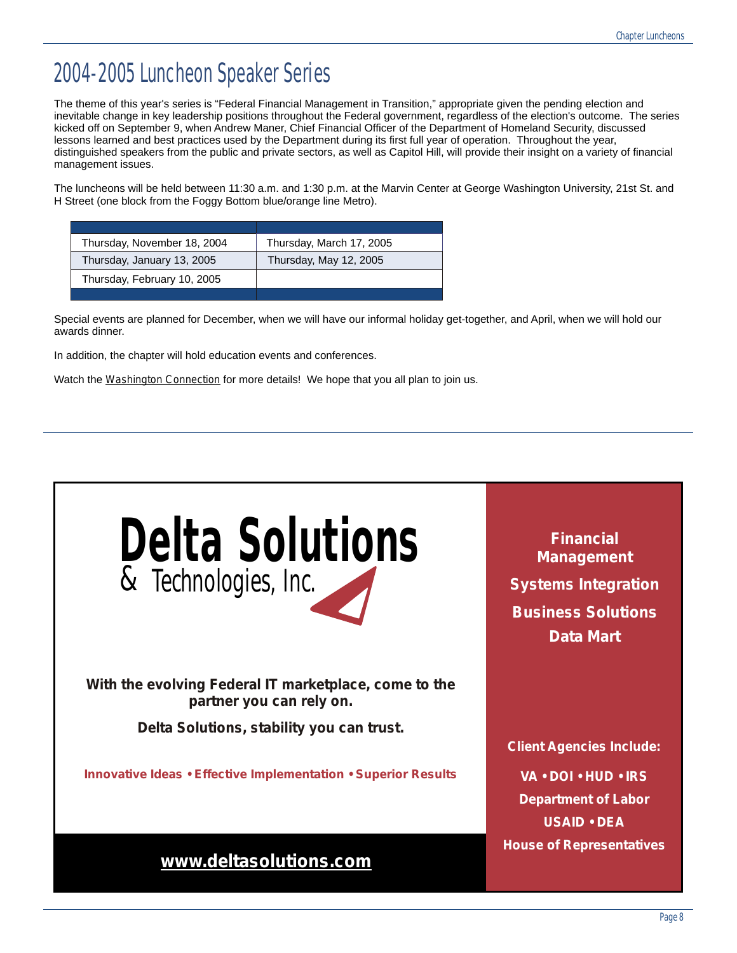### 2004-2005 Luncheon Speaker Series

The theme of this year's series is "Federal Financial Management in Transition," appropriate given the pending election and inevitable change in key leadership positions throughout the Federal government, regardless of the election's outcome. The series kicked off on September 9, when Andrew Maner, Chief Financial Officer of the Department of Homeland Security, discussed lessons learned and best practices used by the Department during its first full year of operation. Throughout the year, distinguished speakers from the public and private sectors, as well as Capitol Hill, will provide their insight on a variety of financial management issues.

The luncheons will be held between 11:30 a.m. and 1:30 p.m. at the Marvin Center at George Washington University, 21st St. and H Street (one block from the Foggy Bottom blue/orange line Metro).

| Thursday, November 18, 2004 | Thursday, March 17, 2005 |
|-----------------------------|--------------------------|
| Thursday, January 13, 2005  | Thursday, May 12, 2005   |
| Thursday, February 10, 2005 |                          |
|                             |                          |

Special events are planned for December, when we will have our informal holiday get-together, and April, when we will hold our awards dinner.

In addition, the chapter will hold education events and conferences.

Watch the *Washington Connection* for more details! We hope that you all plan to join us.

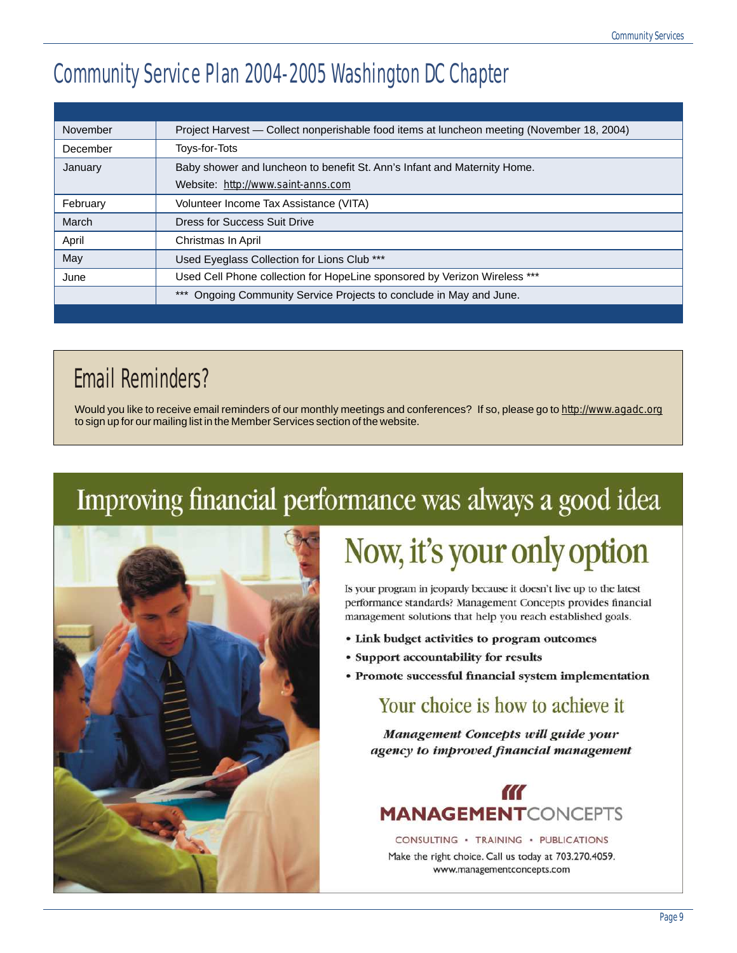## Community Service Plan 2004-2005 Washington DC Chapter

| November | Project Harvest - Collect nonperishable food items at luncheon meeting (November 18, 2004) |
|----------|--------------------------------------------------------------------------------------------|
| December | Toys-for-Tots                                                                              |
| January  | Baby shower and luncheon to benefit St. Ann's Infant and Maternity Home.                   |
|          | Website: http://www.saint-anns.com                                                         |
| February | Volunteer Income Tax Assistance (VITA)                                                     |
| March    | Dress for Success Suit Drive                                                               |
| April    | Christmas In April                                                                         |
| May      | Used Eyeglass Collection for Lions Club ***                                                |
| June     | Used Cell Phone collection for HopeLine sponsored by Verizon Wireless ***                  |
|          | Ongoing Community Service Projects to conclude in May and June.                            |
|          |                                                                                            |

### Email Reminders?

Would you like to receive email reminders of our monthly meetings and conferences? If so, please go to *<http://www.agadc.org>* to sign up for our mailing list in the Member Services section of the website.

# Improving financial performance was always a good idea



# Now, it's your only option

Is your program in jeopardy because it doesn't live up to the latest performance standards? Management Concepts provides financial management solutions that help you reach established goals.

- Link budget activities to program outcomes
- Support accountability for results
- Promote successful financial system implementation

### Your choice is how to achieve it

Management Concepts will guide your agency to improved financial management



CONSULTING · TRAINING · PUBLICATIONS Make the right choice. Call us today at 703.270.4059.

www.managementconcepts.com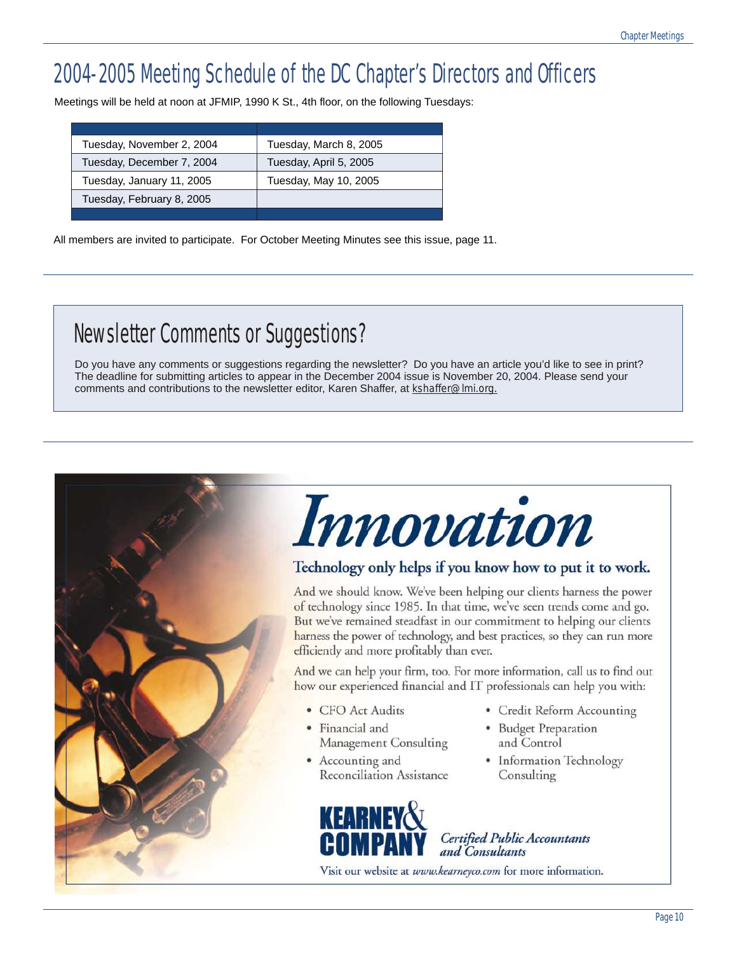## 2004-2005 Meeting Schedule of the DC Chapter's Directors and Officers

Meetings will be held at noon at JFMIP, 1990 K St., 4th floor, on the following Tuesdays:

| Tuesday, November 2, 2004 | Tuesday, March 8, 2005 |
|---------------------------|------------------------|
| Tuesday, December 7, 2004 | Tuesday, April 5, 2005 |
| Tuesday, January 11, 2005 | Tuesday, May 10, 2005  |
| Tuesday, February 8, 2005 |                        |
|                           |                        |

All members are invited to participate. For October Meeting Minutes see this issue, page 11.

## Newsletter Comments or Suggestions?

Do you have any comments or suggestions regarding the newsletter? Do you have an article you'd like to see in print? The deadline for submitting articles to appear in the December 2004 issue is November 20, 2004. Please send your comments and contributions to the newsletter editor, Karen Shaffer, at *[kshaffer@lmi.org.](mailto:kshaffer@lmi.org)*

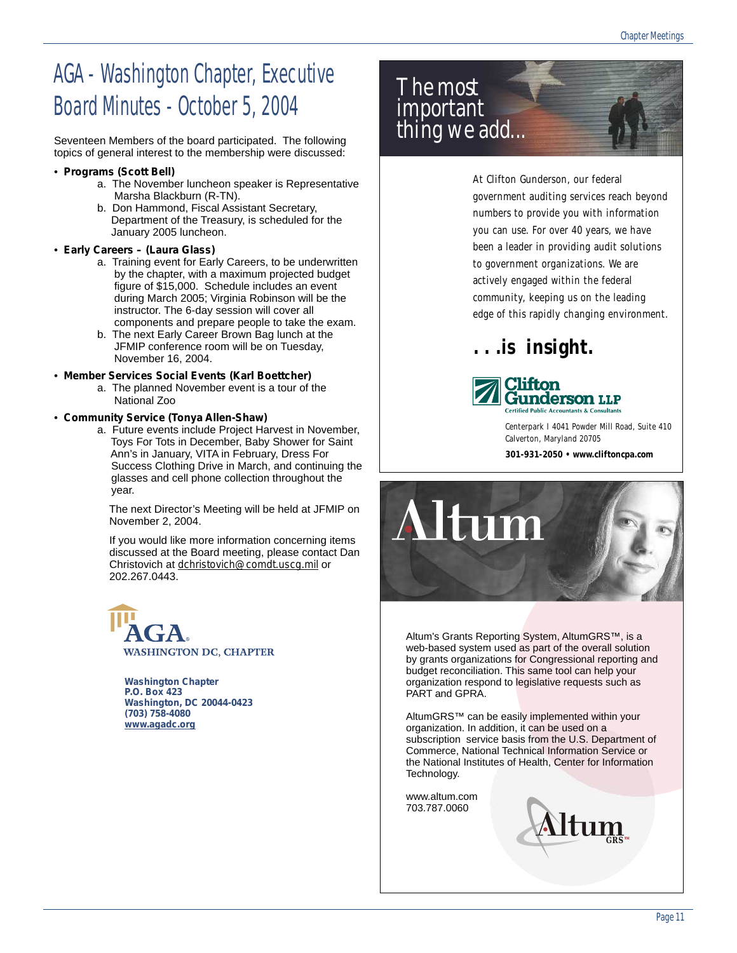## AGA - Washington Chapter, Executive Board Minutes - October 5, 2004

Seventeen Members of the board participated. The following topics of general interest to the membership were discussed:

#### • **Programs (Scott Bell)**

- a. The November luncheon speaker is Representative Marsha Blackburn (R-TN).
- b. Don Hammond, Fiscal Assistant Secretary, Department of the Treasury, is scheduled for the January 2005 luncheon.

### • **Early Careers – (Laura Glass)**

- a. Training event for Early Careers, to be underwritten by the chapter, with a maximum projected budget figure of \$15,000. Schedule includes an event during March 2005; Virginia Robinson will be the instructor. The 6-day session will cover all components and prepare people to take the exam.
- b. The next Early Career Brown Bag lunch at the JFMIP conference room will be on Tuesday, November 16, 2004.
- **Member Services Social Events (Karl Boettcher)**
	- a. The planned November event is a tour of the National Zoo

#### • **Community Service (Tonya Allen-Shaw)**

a. Future events include Project Harvest in November, Toys For Tots in December, Baby Shower for Saint Ann's in January, VITA in February, Dress For Success Clothing Drive in March, and continuing the glasses and cell phone collection throughout the year.

 The next Director's Meeting will be held at JFMIP on November 2, 2004.

 If you would like more information concerning items discussed at the Board meeting, please contact Dan Christovich at *[dchristovich@comdt.uscg.mil](mailto:dchristovich@comdt.uscg.mil)* or 202.267.0443.

**WASHINGTON DC, CHAPTER** 

**Washington Chapter P.O. Box 423 Washington, DC 20044-0423 (703) 758-4080**  *[www.agadc.org](http://www.agadc.org)*



At Clifton Gunderson, our federal government auditing services reach beyond numbers to provide you with information you can use. For over 40 years, we have been a leader in providing audit solutions to government organizations. We are actively engaged within the federal community, keeping us on the leading edge of this rapidly changing environment.

### **. . .is insight.**



Centerpark I 4041 Powder Mill Road, Suite 410 Calverton, Maryland 20705 **301-931-2050 • [www.cliftoncpa.com](http://www.cliftoncpa.com)**



Altum's Grants Reporting System, AltumGRS™, is a web-based system used as part of the overall solution by grants organizations for Congressional reporting and budget reconciliation. This same tool can help your organization respond to legislative requests such as PART and GPRA.

AltumGRS™ can be easily implemented within your organization. In addition, it can be used on a subscription service basis from the U.S. Department of Commerce, National Technical Information Service or the National Institutes of Health, Center for Information Technology.

[www.altum.com](http://www.altum.com) 703.787.0060

*[GRS](http://www.altum.com)*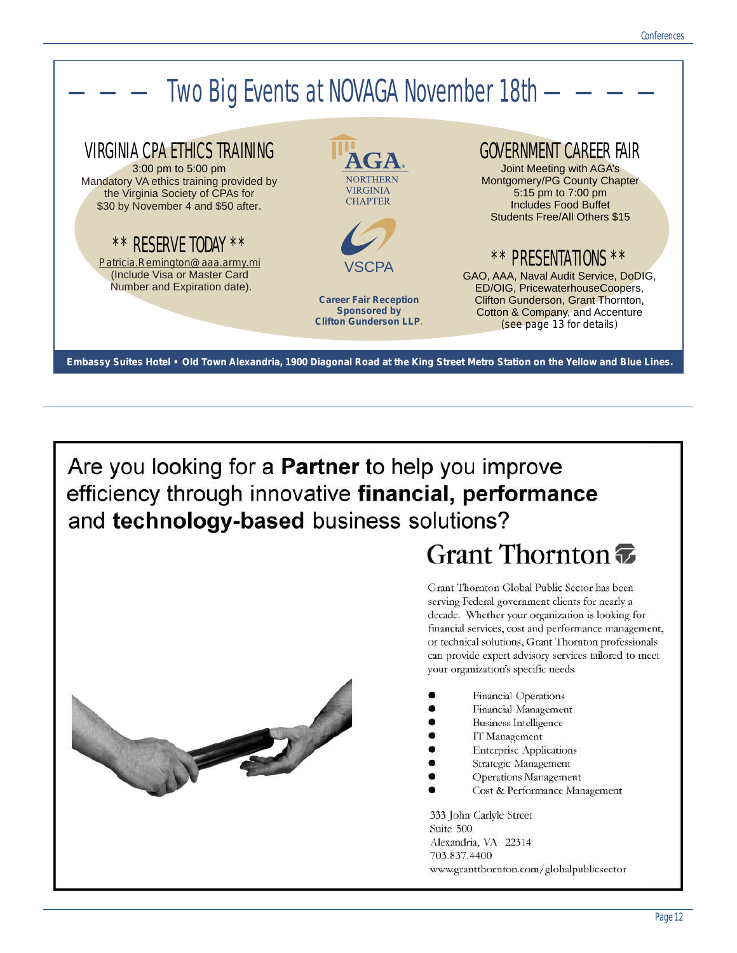

Are you looking for a **Partner** to help you improve efficiency through innovative financial, performance and technology-based business solutions?

### Grant Thornton

Grant Thornton Global Public Sector has been serving Federal government clients for nearly a decade. Whether your organization is looking for financial services, cost and performance management, or technical solutions, Grant Thornton professionals can provide expert advisory services tailored to meet your organization's specific needs.

- Financial Operations
- Financial Management
- **Business Intelligence**
- IT Management
- **Enterprise Applications**
- Strategic Management
- **Operations Management**
- Cost & Performance Management

333 John Carlyle Street Suite 500 Alexandria, VA 22314 703.837.4400 www.grantthornton.com/globalpublicsector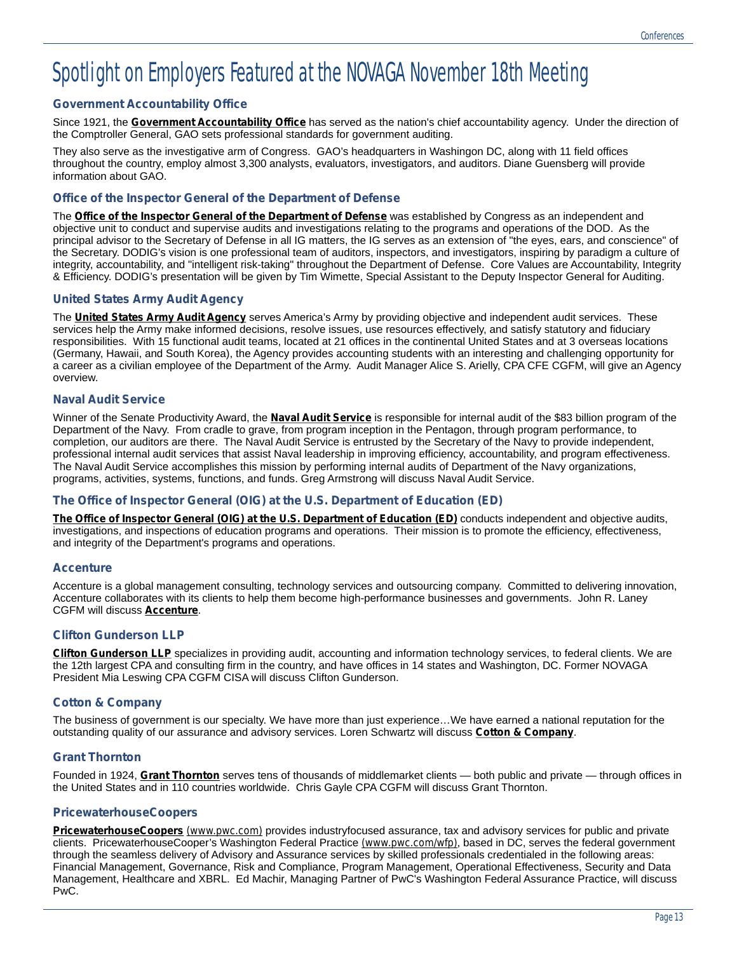### Spotlight on Employers Featured at the NOVAGA November 18th Meeting

### **Government Accountability Office**

Since 1921, the *[Government Accountability Office](http://www.gao.gov)* has served as the nation's chief accountability agency. Under the direction of the Comptroller General, GAO sets professional standards for government auditing.

They also serve as the investigative arm of Congress. GAO's headquarters in Washingon DC, along with 11 field offices throughout the country, employ almost 3,300 analysts, evaluators, investigators, and auditors. Diane Guensberg will provide information about GAO.

### **Office of the Inspector General of the Department of Defense**

The *[Office of the Inspector General of the Department of Defense](http://www.dodig.osd.mil)* was established by Congress as an independent and objective unit to conduct and supervise audits and investigations relating to the programs and operations of the DOD. As the principal advisor to the Secretary of Defense in all IG matters, the IG serves as an extension of "the eyes, ears, and conscience" of the Secretary. DODIG's vision is one professional team of auditors, inspectors, and investigators, inspiring by paradigm a culture of integrity, accountability, and "intelligent risk-taking" throughout the Department of Defense. Core Values are Accountability, Integrity & Efficiency. DODIG's presentation will be given by Tim Wimette, Special Assistant to the Deputy Inspector General for Auditing.

#### **United States Army Audit Agency**

The *[United States Army Audit Agency](http://www.hqda.army.mil/AAAWEB)* serves America's Army by providing objective and independent audit services. These services help the Army make informed decisions, resolve issues, use resources effectively, and satisfy statutory and fiduciary responsibilities. With 15 functional audit teams, located at 21 offices in the continental United States and at 3 overseas locations (Germany, Hawaii, and South Korea), the Agency provides accounting students with an interesting and challenging opportunity for a career as a civilian employee of the Department of the Army. Audit Manager Alice S. Arielly, CPA CFE CGFM, will give an Agency overview.

#### **Naval Audit Service**

Winner of the Senate Productivity Award, the *[Naval Audit Service](http://www.hq.navy.mil/NavalAudit/)* is responsible for internal audit of the \$83 billion program of the Department of the Navy. From cradle to grave, from program inception in the Pentagon, through program performance, to completion, our auditors are there. The Naval Audit Service is entrusted by the Secretary of the Navy to provide independent, professional internal audit services that assist Naval leadership in improving efficiency, accountability, and program effectiveness. The Naval Audit Service accomplishes this mission by performing internal audits of Department of the Navy organizations, programs, activities, systems, functions, and funds. Greg Armstrong will discuss Naval Audit Service.

### **The Office of Inspector General (OIG) at the U.S. Department of Education (ED)**

*[The Office of Inspector General \(OIG\) at the U.S. Department of Education \(ED\)](http://www.ed.gov/about/offices/list/oig/misused/index.html)* conducts independent and objective audits, investigations, and inspections of education programs and operations. Their mission is to promote the efficiency, effectiveness, and integrity of the Department's programs and operations.

#### **Accenture**

Accenture is a global management consulting, technology services and outsourcing company. Committed to delivering innovation, Accenture collaborates with its clients to help them become high-performance businesses and governments. John R. Laney CGFM will discuss *[Accenture](http://www.accenture.com)*.

### **Clifton Gunderson LLP**

*[Clifton Gunderson LLP](http://www.cliftoncpa.com)* specializes in providing audit, accounting and information technology services, to federal clients. We are the 12th largest CPA and consulting firm in the country, and have offices in 14 states and Washington, DC. Former NOVAGA President Mia Leswing CPA CGFM CISA will discuss Clifton Gunderson.

### **Cotton & Company**

The business of government is our specialty. We have more than just experience…We have earned a national reputation for the outstanding quality of our assurance and advisory services. Loren Schwartz will discuss *[Cotton & Company](http://www.cottoncpa.com)*.

### **Grant Thornton**

Founded in 1924, *[Grant Thornton](http://www.grantthornton.com)* serves tens of thousands of middlemarket clients — both public and private — through offices in the United States and in 110 countries worldwide. Chris Gayle CPA CGFM will discuss Grant Thornton.

#### **PricewaterhouseCoopers**

*[PricewaterhouseCoopers](http://www.pwc.com) (www.pwc.com)* provides industryfocused assurance, tax and advisory services for public and private clients. PricewaterhouseCooper's Washington Federal Practice *[\(www.pwc.com/wfp\)](http://www.pwc.com/wfp)*, based in DC, serves the federal government through the seamless delivery of Advisory and Assurance services by skilled professionals credentialed in the following areas: Financial Management, Governance, Risk and Compliance, Program Management, Operational Effectiveness, Security and Data Management, Healthcare and XBRL. Ed Machir, Managing Partner of PwC's Washington Federal Assurance Practice, will discuss PwC.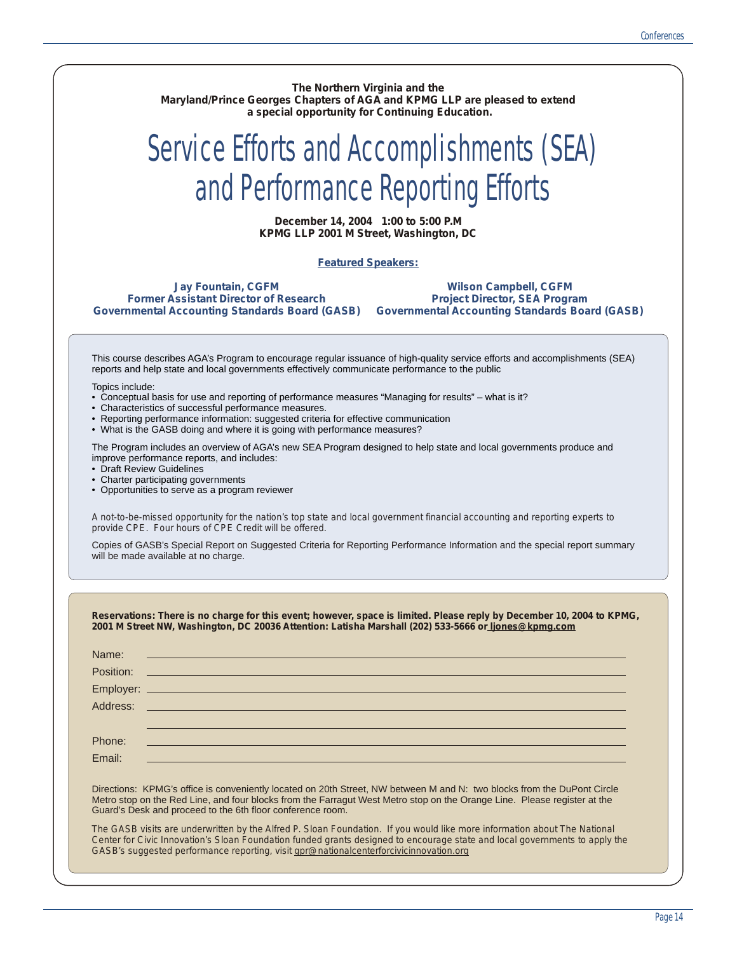**The Northern Virginia and the Maryland/Prince Georges Chapters of AGA and KPMG LLP are pleased to extend a special opportunity for Continuing Education.** 

# Service Efforts and Accomplishments (SEA) and Performance Reporting Efforts

**December 14, 2004 1:00 to 5:00 P.M KPMG LLP 2001 M Street, Washington, DC**

#### **Featured Speakers:**

**Jay Fountain, CGFM Former Assistant Director of Research Governmental Accounting Standards Board (GASB)**

**Wilson Campbell, CGFM Project Director, SEA Program Governmental Accounting Standards Board (GASB)**

This course describes AGA's Program to encourage regular issuance of high-quality service efforts and accomplishments (SEA) reports and help state and local governments effectively communicate performance to the public

Topics include:

- Conceptual basis for use and reporting of performance measures "Managing for results" what is it?
- Characteristics of successful performance measures.
- Reporting performance information: suggested criteria for effective communication
- What is the GASB doing and where it is going with performance measures?

The Program includes an overview of AGA's new SEA Program designed to help state and local governments produce and improve performance reports, and includes:

- Draft Review Guidelines
- Charter participating governments
- Opportunities to serve as a program reviewer

*A not-to-be-missed opportunity for the nation's top state and local government financial accounting and reporting experts to provide CPE. Four hours of CPE Credit will be offered.*

Copies of GASB's Special Report on Suggested Criteria for Reporting Performance Information and the special report summary will be made available at no charge.

|        | Name: <u>www.communications.com and the communications</u>                                                                                                                                                                                                                                                                                         |
|--------|----------------------------------------------------------------------------------------------------------------------------------------------------------------------------------------------------------------------------------------------------------------------------------------------------------------------------------------------------|
|        |                                                                                                                                                                                                                                                                                                                                                    |
|        |                                                                                                                                                                                                                                                                                                                                                    |
|        |                                                                                                                                                                                                                                                                                                                                                    |
| Phone: | ,我们也不会有什么。""我们,我们也不会有什么?""我们,我们也不会有什么?""我们,我们也不会有什么?""我们,我们也不会有什么?""我们,我们也不会有什么?                                                                                                                                                                                                                                                                   |
| Email: |                                                                                                                                                                                                                                                                                                                                                    |
|        | Directions: KPMG's office is conveniently located on 20th Street, NW between M and N: two blocks from the DuPont Circle<br>Metro stop on the Red Line, and four blocks from the Farragut West Metro stop on the Orange Line. Please register at the<br>Guard's Desk and proceed to the 6th floor conference room.                                  |
|        | The GASB visits are underwritten by the Alfred P. Sloan Foundation. If you would like more information about The National<br>Center for Civic Innovation's Sloan Foundation funded grants designed to encourage state and local governments to apply the<br>GASB's suggested performance reporting, visit gpr@nationalcenterforcivicinnovation.org |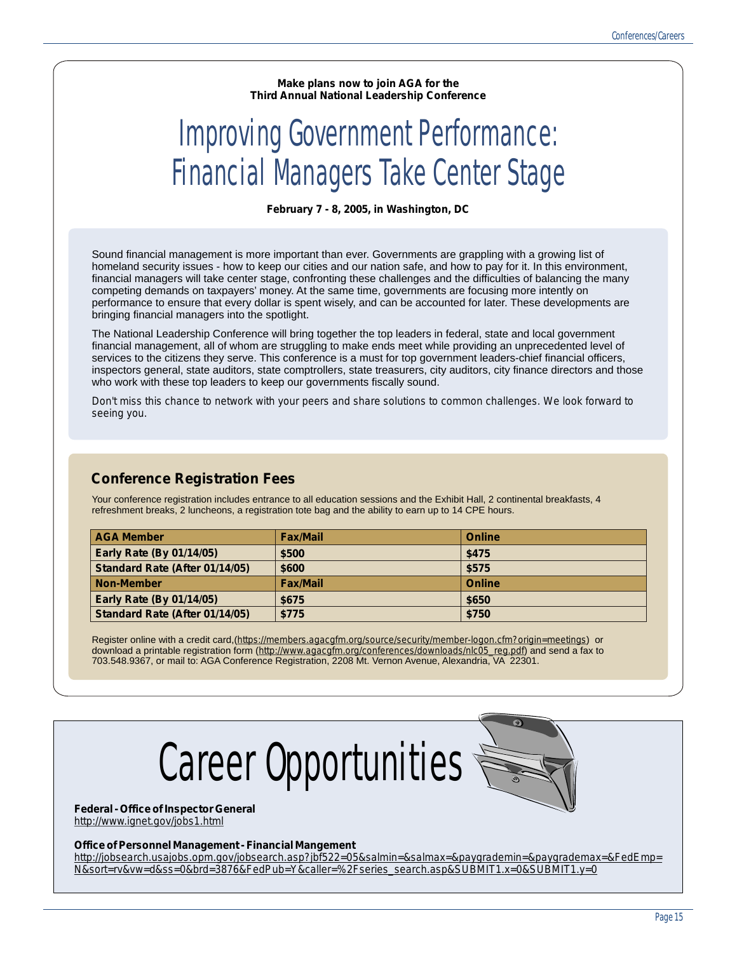**Make plans now to join AGA for the Third Annual National Leadership Conference**

# Improving Government Performance: Financial Managers Take Center Stage

**February 7 - 8, 2005, in Washington, DC**

Sound financial management is more important than ever. Governments are grappling with a growing list of homeland security issues - how to keep our cities and our nation safe, and how to pay for it. In this environment, financial managers will take center stage, confronting these challenges and the difficulties of balancing the many competing demands on taxpayers' money. At the same time, governments are focusing more intently on performance to ensure that every dollar is spent wisely, and can be accounted for later. These developments are bringing financial managers into the spotlight.

The National Leadership Conference will bring together the top leaders in federal, state and local government financial management, all of whom are struggling to make ends meet while providing an unprecedented level of services to the citizens they serve. This conference is a must for top government leaders-chief financial officers, inspectors general, state auditors, state comptrollers, state treasurers, city auditors, city finance directors and those who work with these top leaders to keep our governments fiscally sound.

*Don't miss this chance to network with your peers and share solutions to common challenges. We look forward to seeing you.*

### **Conference Registration Fees**

Your conference registration includes entrance to all education sessions and the Exhibit Hall, 2 continental breakfasts, 4 refreshment breaks, 2 luncheons, a registration tote bag and the ability to earn up to 14 CPE hours.

| <b>AGA Member</b>                     | <b>Fax/Mail</b> | <b>Online</b> |
|---------------------------------------|-----------------|---------------|
| <b>Early Rate (By 01/14/05)</b>       | \$500           | \$475         |
| <b>Standard Rate (After 01/14/05)</b> | \$600           | \$575         |
| <b>Non-Member</b>                     | <b>Fax/Mail</b> | <b>Online</b> |
| <b>Early Rate (By 01/14/05)</b>       | \$675           | \$650         |
| Standard Rate (After 01/14/05)        | \$775           | \$750         |

Register online with a credit card,(*<https://members.agacgfm.org/source/security/member-logon.cfm?origin=meetings>*) or download a printable registration form (*[http://www.agacgfm.org/conferences/downloads/nlc05\\_reg.pdf](http://www.agacgfm.org/conferences/downloads/nlc05_reg.pdf)*) and send a fax to 703.548.9367, or mail to: AGA Conference Registration, 2208 Mt. Vernon Avenue, Alexandria, VA 22301.



**Federal - Office of Inspector General** *<http://www.ignet.gov/jobs1.html>*

#### **Office of Personnel Management - Financial Mangement**

*[http://jobsearch.usajobs.opm.gov/jobsearch.asp?jbf522=05&salmin=&salmax=&paygrademin=&paygrademax=&FedEmp=](http://jobsearch.usajobs.opm.gov/jobsearch.asp?jbf522=05&salmin=&salmax=&paygrademin=&paygrademax=&FedEmp=N&sort=rv&vw=d&ss=0&brd=3876&FedPub=Y&caller=%2Fseries_search.asp&SUBMIT1.x=0&SUBMIT1.y=0) N&sort=rv&vw=d&ss=0&brd=3876&FedPub=Y&caller=%2Fseries\_search.asp&SUBMIT1.x=0&SUBMIT1.y=0*